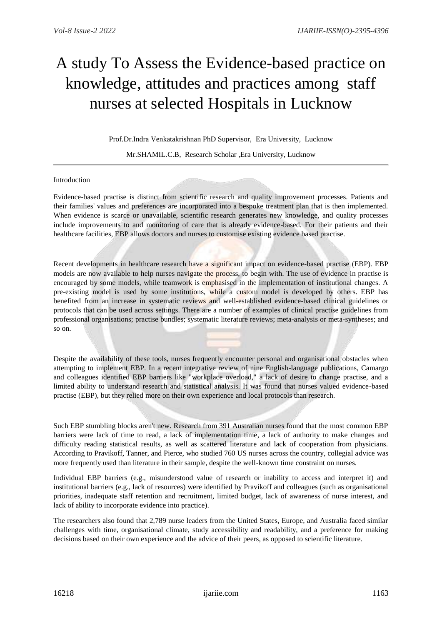# A study To Assess the Evidence-based practice on knowledge, attitudes and practices among staff nurses at selected Hospitals in Lucknow

Prof.Dr.Indra Venkatakrishnan PhD Supervisor, Era University, Lucknow

Mr.SHAMIL.C.B, Research Scholar ,Era University, Lucknow

### Introduction

Evidence-based practise is distinct from scientific research and quality improvement processes. Patients and their families' values and preferences are incorporated into a bespoke treatment plan that is then implemented. When evidence is scarce or unavailable, scientific research generates new knowledge, and quality processes include improvements to and monitoring of care that is already evidence-based. For their patients and their healthcare facilities, EBP allows doctors and nurses to customise existing evidence based practise.

Recent developments in healthcare research have a significant impact on evidence-based practise (EBP). EBP models are now available to help nurses navigate the process, to begin with. The use of evidence in practise is encouraged by some models, while teamwork is emphasised in the implementation of institutional changes. A pre-existing model is used by some institutions, while a custom model is developed by others. EBP has benefited from an increase in systematic reviews and well-established evidence-based clinical guidelines or protocols that can be used across settings. There are a number of examples of clinical practise guidelines from professional organisations; practise bundles; systematic literature reviews; meta-analysis or meta-syntheses; and so on.

Despite the availability of these tools, nurses frequently encounter personal and organisational obstacles when attempting to implement EBP. In a recent integrative review of nine English-language publications, Camargo and colleagues identified EBP barriers like "workplace overload," a lack of desire to change practise, and a limited ability to understand research and statistical analysis. It was found that nurses valued evidence-based practise (EBP), but they relied more on their own experience and local protocols than research.

Such EBP stumbling blocks aren't new. Research from 391 Australian nurses found that the most common EBP barriers were lack of time to read, a lack of implementation time, a lack of authority to make changes and difficulty reading statistical results, as well as scattered literature and lack of cooperation from physicians. According to Pravikoff, Tanner, and Pierce, who studied 760 US nurses across the country, collegial advice was more frequently used than literature in their sample, despite the well-known time constraint on nurses.

Individual EBP barriers (e.g., misunderstood value of research or inability to access and interpret it) and institutional barriers (e.g., lack of resources) were identified by Pravikoff and colleagues (such as organisational priorities, inadequate staff retention and recruitment, limited budget, lack of awareness of nurse interest, and lack of ability to incorporate evidence into practice).

The researchers also found that 2,789 nurse leaders from the United States, Europe, and Australia faced similar challenges with time, organisational climate, study accessibility and readability, and a preference for making decisions based on their own experience and the advice of their peers, as opposed to scientific literature.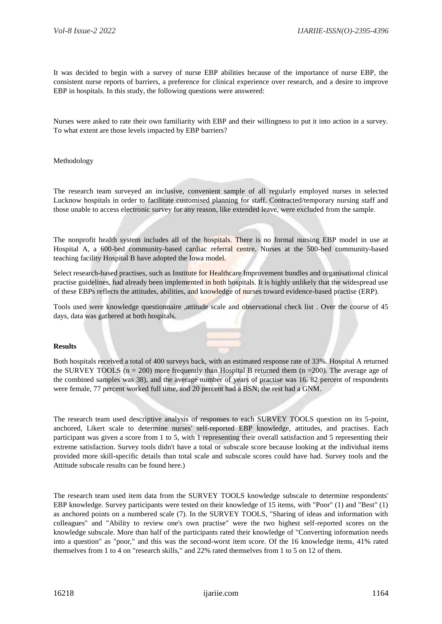It was decided to begin with a survey of nurse EBP abilities because of the importance of nurse EBP, the consistent nurse reports of barriers, a preference for clinical experience over research, and a desire to improve EBP in hospitals. In this study, the following questions were answered:

Nurses were asked to rate their own familiarity with EBP and their willingness to put it into action in a survey. To what extent are those levels impacted by EBP barriers?

Methodology

The research team surveyed an inclusive, convenient sample of all regularly employed nurses in selected Lucknow hospitals in order to facilitate customised planning for staff. Contracted/temporary nursing staff and those unable to access electronic survey for any reason, like extended leave, were excluded from the sample.

The nonprofit health system includes all of the hospitals. There is no formal nursing EBP model in use at Hospital A, a 600-bed community-based cardiac referral centre. Nurses at the 500-bed community-based teaching facility Hospital B have adopted the Iowa model.

Select research-based practises, such as Institute for Healthcare Improvement bundles and organisational clinical practise guidelines, had already been implemented in both hospitals. It is highly unlikely that the widespread use of these EBPs reflects the attitudes, abilities, and knowledge of nurses toward evidence-based practise (ERP).

Tools used were knowledge questionnaire ,attitude scale and observational check list . Over the course of 45 days, data was gathered at both hospitals.

## **Results**

Both hospitals received a total of 400 surveys back, with an estimated response rate of 33%. Hospital A returned the SURVEY TOOLS ( $n = 200$ ) more frequently than Hospital B returned them ( $n = 200$ ). The average age of the combined samples was 38), and the average number of years of practise was 16. 82 percent of respondents were female, 77 percent worked full time, and 20 percent had a BSN; the rest had a GNM.

The research team used descriptive analysis of responses to each SURVEY TOOLS question on its 5-point, anchored, Likert scale to determine nurses' self-reported EBP knowledge, attitudes, and practises. Each participant was given a score from 1 to 5, with 1 representing their overall satisfaction and 5 representing their extreme satisfaction. Survey tools didn't have a total or subscale score because looking at the individual items provided more skill-specific details than total scale and subscale scores could have had. Survey tools and the Attitude subscale results can be found here.)

The research team used item data from the SURVEY TOOLS knowledge subscale to determine respondents' EBP knowledge. Survey participants were tested on their knowledge of 15 items, with "Poor" (1) and "Best" (1) as anchored points on a numbered scale (7). In the SURVEY TOOLS, "Sharing of ideas and information with colleagues" and "Ability to review one's own practise" were the two highest self-reported scores on the knowledge subscale. More than half of the participants rated their knowledge of "Converting information needs into a question" as "poor," and this was the second-worst item score. Of the 16 knowledge items, 41% rated themselves from 1 to 4 on "research skills," and 22% rated themselves from 1 to 5 on 12 of them.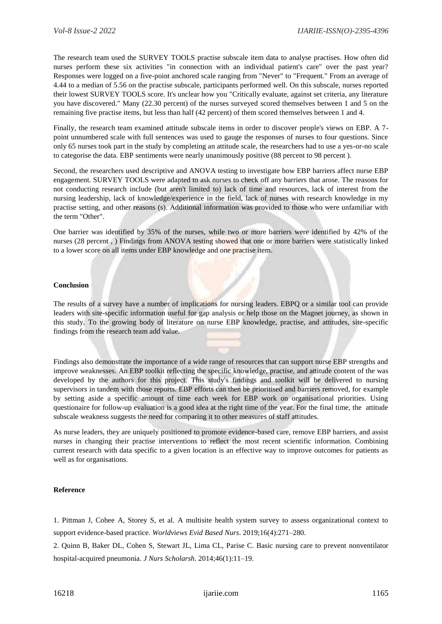The research team used the SURVEY TOOLS practise subscale item data to analyse practises. How often did nurses perform these six activities "in connection with an individual patient's care" over the past year? Responses were logged on a five-point anchored scale ranging from "Never" to "Frequent." From an average of 4.44 to a median of 5.56 on the practise subscale, participants performed well. On this subscale, nurses reported their lowest SURVEY TOOLS score. It's unclear how you "Critically evaluate, against set criteria, any literature you have discovered." Many (22.30 percent) of the nurses surveyed scored themselves between 1 and 5 on the remaining five practise items, but less than half (42 percent) of them scored themselves between 1 and 4.

Finally, the research team examined attitude subscale items in order to discover people's views on EBP. A 7 point unnumbered scale with full sentences was used to gauge the responses of nurses to four questions. Since only 65 nurses took part in the study by completing an attitude scale, the researchers had to use a yes-or-no scale to categorise the data. EBP sentiments were nearly unanimously positive (88 percent to 98 percent ).

Second, the researchers used descriptive and ANOVA testing to investigate how EBP barriers affect nurse EBP engagement. SURVEY TOOLS were adapted to ask nurses to check off any barriers that arose. The reasons for not conducting research include (but aren't limited to) lack of time and resources, lack of interest from the nursing leadership, lack of knowledge/experience in the field, lack of nurses with research knowledge in my practise setting, and other reasons (s). Additional information was provided to those who were unfamiliar with the term "Other".

One barrier was identified by 35% of the nurses, while two or more barriers were identified by 42% of the nurses (28 percent , ) Findings from ANOVA testing showed that one or more barriers were statistically linked to a lower score on all items under EBP knowledge and one practise item.

## **Conclusion**

The results of a survey have a number of implications for nursing leaders. EBPQ or a similar tool can provide leaders with site-specific information useful for gap analysis or help those on the Magnet journey, as shown in this study. To the growing body of literature on nurse EBP knowledge, practise, and attitudes, site-specific findings from the research team add value.

Findings also demonstrate the importance of a wide range of resources that can support nurse EBP strengths and improve weaknesses. An EBP toolkit reflecting the specific knowledge, practise, and attitude content of the was developed by the authors for this project. This study's findings and toolkit will be delivered to nursing supervisors in tandem with those reports. EBP efforts can then be prioritised and barriers removed, for example by setting aside a specific amount of time each week for EBP work on organisational priorities. Using questionaire for follow-up evaluation is a good idea at the right time of the year. For the final time, the attitude subscale weakness suggests the need for comparing it to other measures of staff attitudes.

As nurse leaders, they are uniquely positioned to promote evidence-based care, remove EBP barriers, and assist nurses in changing their practise interventions to reflect the most recent scientific information. Combining current research with data specific to a given location is an effective way to improve outcomes for patients as well as for organisations.

## **Reference**

1. Pittman J, Cohee A, Storey S, et al. A multisite health system survey to assess organizational context to support evidence-based practice. *Worldviews Evid Based Nurs*. 2019;16(4):271–280.

2. Quinn B, Baker DL, Cohen S, Stewart JL, Lima CL, Parise C. Basic nursing care to prevent nonventilator hospital-acquired pneumonia. *J Nurs Scholarsh*. 2014;46(1):11–19.